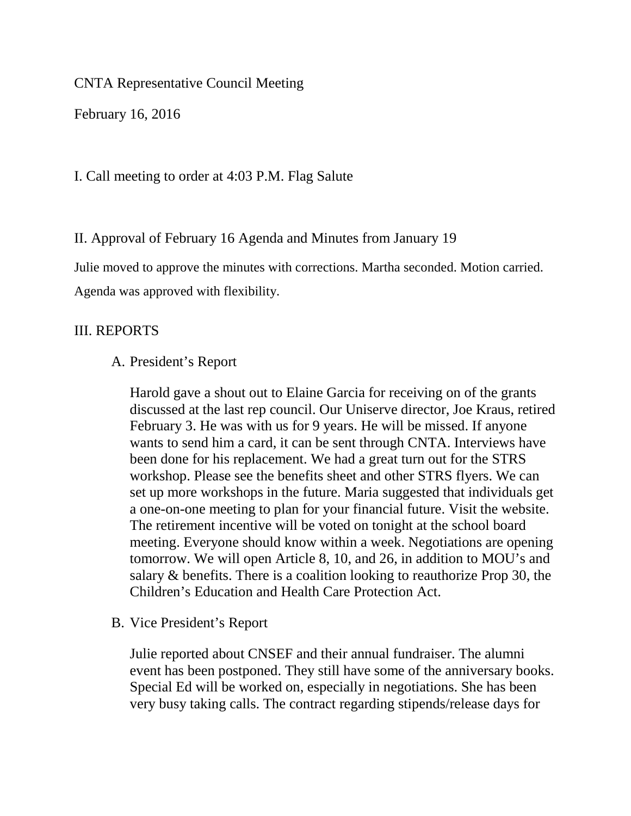CNTA Representative Council Meeting

February 16, 2016

I. Call meeting to order at 4:03 P.M. Flag Salute

II. Approval of February 16 Agenda and Minutes from January 19

Julie moved to approve the minutes with corrections. Martha seconded. Motion carried. Agenda was approved with flexibility.

# III. REPORTS

## A. President's Report

Harold gave a shout out to Elaine Garcia for receiving on of the grants discussed at the last rep council. Our Uniserve director, Joe Kraus, retired February 3. He was with us for 9 years. He will be missed. If anyone wants to send him a card, it can be sent through CNTA. Interviews have been done for his replacement. We had a great turn out for the STRS workshop. Please see the benefits sheet and other STRS flyers. We can set up more workshops in the future. Maria suggested that individuals get a one-on-one meeting to plan for your financial future. Visit the website. The retirement incentive will be voted on tonight at the school board meeting. Everyone should know within a week. Negotiations are opening tomorrow. We will open Article 8, 10, and 26, in addition to MOU's and salary & benefits. There is a coalition looking to reauthorize Prop 30, the Children's Education and Health Care Protection Act.

B. Vice President's Report

Julie reported about CNSEF and their annual fundraiser. The alumni event has been postponed. They still have some of the anniversary books. Special Ed will be worked on, especially in negotiations. She has been very busy taking calls. The contract regarding stipends/release days for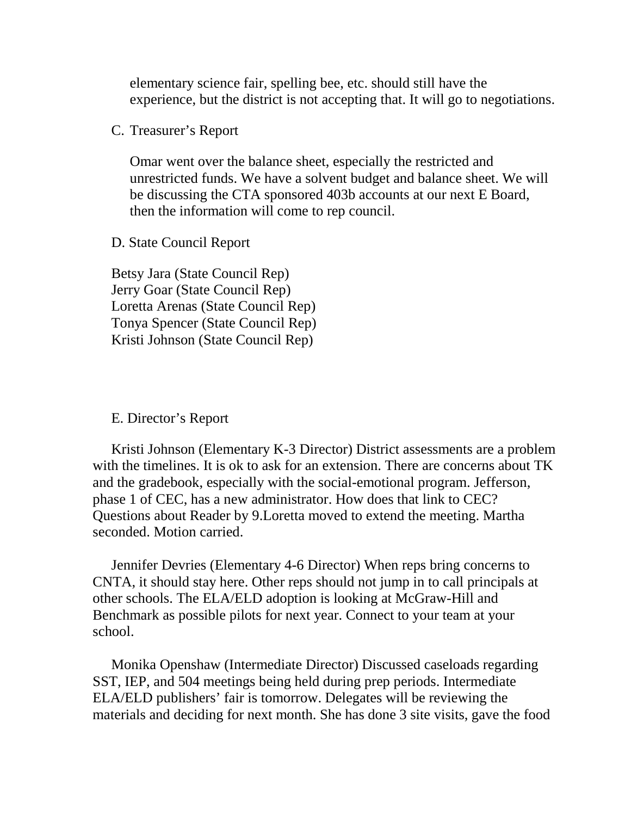elementary science fair, spelling bee, etc. should still have the experience, but the district is not accepting that. It will go to negotiations.

C. Treasurer's Report

Omar went over the balance sheet, especially the restricted and unrestricted funds. We have a solvent budget and balance sheet. We will be discussing the CTA sponsored 403b accounts at our next E Board, then the information will come to rep council.

D. State Council Report

Betsy Jara (State Council Rep) Jerry Goar (State Council Rep) Loretta Arenas (State Council Rep) Tonya Spencer (State Council Rep) Kristi Johnson (State Council Rep)

#### E. Director's Report

Kristi Johnson (Elementary K-3 Director) District assessments are a problem with the timelines. It is ok to ask for an extension. There are concerns about TK and the gradebook, especially with the social-emotional program. Jefferson, phase 1 of CEC, has a new administrator. How does that link to CEC? Questions about Reader by 9.Loretta moved to extend the meeting. Martha seconded. Motion carried.

Jennifer Devries (Elementary 4-6 Director) When reps bring concerns to CNTA, it should stay here. Other reps should not jump in to call principals at other schools. The ELA/ELD adoption is looking at McGraw-Hill and Benchmark as possible pilots for next year. Connect to your team at your school.

Monika Openshaw (Intermediate Director) Discussed caseloads regarding SST, IEP, and 504 meetings being held during prep periods. Intermediate ELA/ELD publishers' fair is tomorrow. Delegates will be reviewing the materials and deciding for next month. She has done 3 site visits, gave the food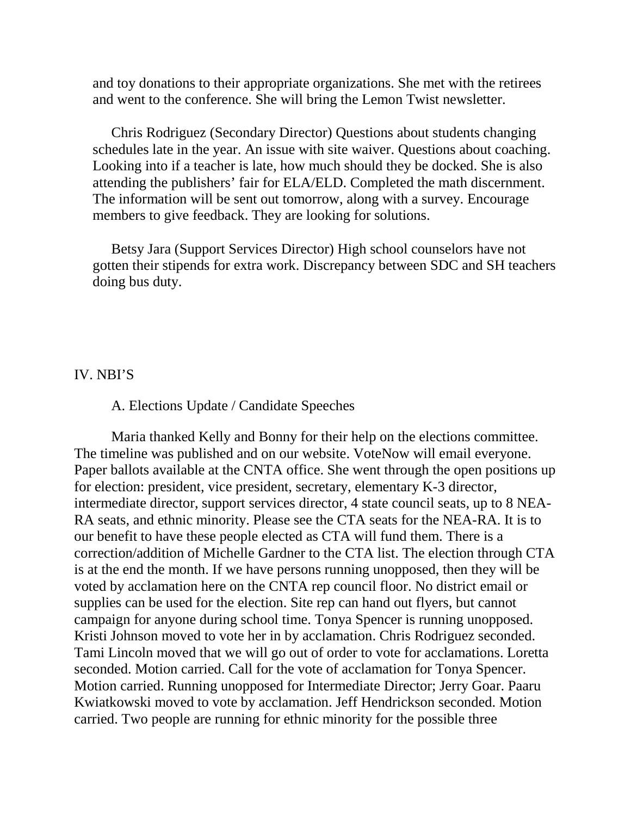and toy donations to their appropriate organizations. She met with the retirees and went to the conference. She will bring the Lemon Twist newsletter.

Chris Rodriguez (Secondary Director) Questions about students changing schedules late in the year. An issue with site waiver. Questions about coaching. Looking into if a teacher is late, how much should they be docked. She is also attending the publishers' fair for ELA/ELD. Completed the math discernment. The information will be sent out tomorrow, along with a survey. Encourage members to give feedback. They are looking for solutions.

Betsy Jara (Support Services Director) High school counselors have not gotten their stipends for extra work. Discrepancy between SDC and SH teachers doing bus duty.

### IV. NBI'S

#### A. Elections Update / Candidate Speeches

Maria thanked Kelly and Bonny for their help on the elections committee. The timeline was published and on our website. VoteNow will email everyone. Paper ballots available at the CNTA office. She went through the open positions up for election: president, vice president, secretary, elementary K-3 director, intermediate director, support services director, 4 state council seats, up to 8 NEA-RA seats, and ethnic minority. Please see the CTA seats for the NEA-RA. It is to our benefit to have these people elected as CTA will fund them. There is a correction/addition of Michelle Gardner to the CTA list. The election through CTA is at the end the month. If we have persons running unopposed, then they will be voted by acclamation here on the CNTA rep council floor. No district email or supplies can be used for the election. Site rep can hand out flyers, but cannot campaign for anyone during school time. Tonya Spencer is running unopposed. Kristi Johnson moved to vote her in by acclamation. Chris Rodriguez seconded. Tami Lincoln moved that we will go out of order to vote for acclamations. Loretta seconded. Motion carried. Call for the vote of acclamation for Tonya Spencer. Motion carried. Running unopposed for Intermediate Director; Jerry Goar. Paaru Kwiatkowski moved to vote by acclamation. Jeff Hendrickson seconded. Motion carried. Two people are running for ethnic minority for the possible three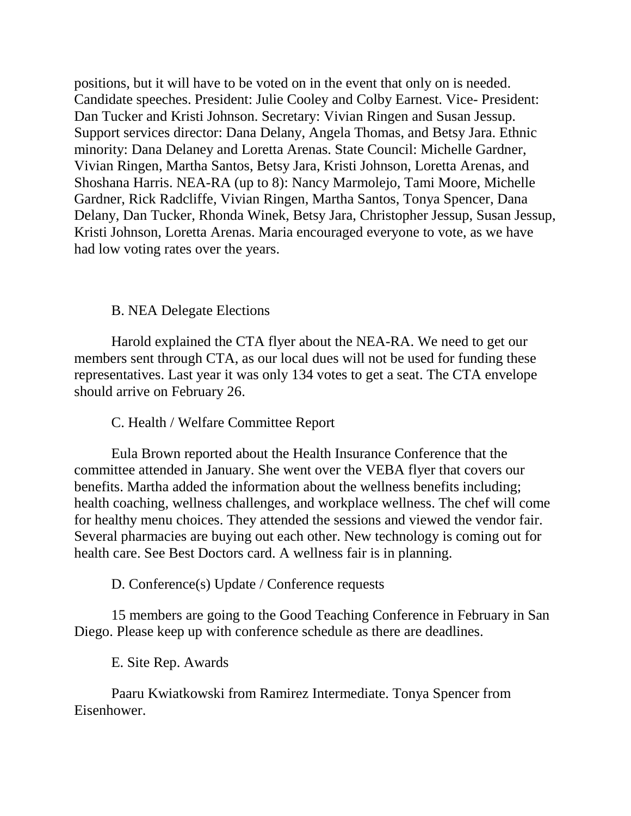positions, but it will have to be voted on in the event that only on is needed. Candidate speeches. President: Julie Cooley and Colby Earnest. Vice- President: Dan Tucker and Kristi Johnson. Secretary: Vivian Ringen and Susan Jessup. Support services director: Dana Delany, Angela Thomas, and Betsy Jara. Ethnic minority: Dana Delaney and Loretta Arenas. State Council: Michelle Gardner, Vivian Ringen, Martha Santos, Betsy Jara, Kristi Johnson, Loretta Arenas, and Shoshana Harris. NEA-RA (up to 8): Nancy Marmolejo, Tami Moore, Michelle Gardner, Rick Radcliffe, Vivian Ringen, Martha Santos, Tonya Spencer, Dana Delany, Dan Tucker, Rhonda Winek, Betsy Jara, Christopher Jessup, Susan Jessup, Kristi Johnson, Loretta Arenas. Maria encouraged everyone to vote, as we have had low voting rates over the years.

### B. NEA Delegate Elections

Harold explained the CTA flyer about the NEA-RA. We need to get our members sent through CTA, as our local dues will not be used for funding these representatives. Last year it was only 134 votes to get a seat. The CTA envelope should arrive on February 26.

# C. Health / Welfare Committee Report

Eula Brown reported about the Health Insurance Conference that the committee attended in January. She went over the VEBA flyer that covers our benefits. Martha added the information about the wellness benefits including; health coaching, wellness challenges, and workplace wellness. The chef will come for healthy menu choices. They attended the sessions and viewed the vendor fair. Several pharmacies are buying out each other. New technology is coming out for health care. See Best Doctors card. A wellness fair is in planning.

D. Conference(s) Update / Conference requests

15 members are going to the Good Teaching Conference in February in San Diego. Please keep up with conference schedule as there are deadlines.

E. Site Rep. Awards

Paaru Kwiatkowski from Ramirez Intermediate. Tonya Spencer from Eisenhower.